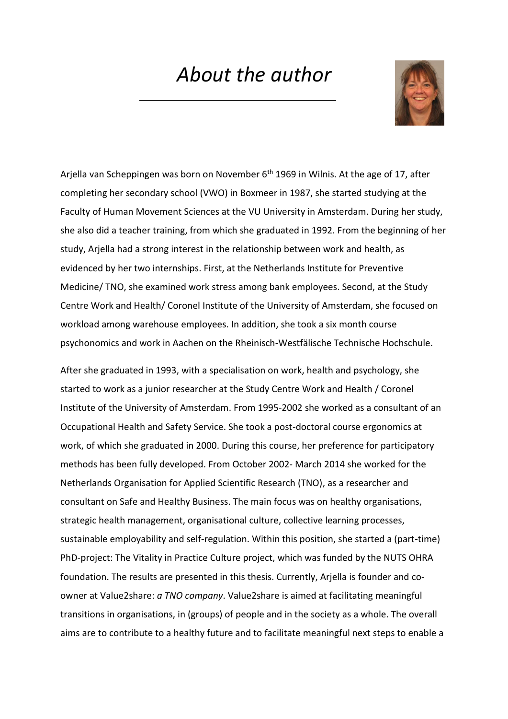## *About the author*



Arjella van Scheppingen was born on November 6<sup>th</sup> 1969 in Wilnis. At the age of 17, after completing her secondary school (VWO) in Boxmeer in 1987, she started studying at the Faculty of Human Movement Sciences at the VU University in Amsterdam. During her study, she also did a teacher training, from which she graduated in 1992. From the beginning of her study, Arjella had a strong interest in the relationship between work and health, as evidenced by her two internships. First, at the Netherlands Institute for Preventive Medicine/ TNO, she examined work stress among bank employees. Second, at the Study Centre Work and Health/ Coronel Institute of the University of Amsterdam, she focused on workload among warehouse employees. In addition, she took a six month course psychonomics and work in Aachen on the Rheinisch-Westfälische Technische Hochschule.

After she graduated in 1993, with a specialisation on work, health and psychology, she started to work as a junior researcher at the Study Centre Work and Health / Coronel Institute of the University of Amsterdam. From 1995-2002 she worked as a consultant of an Occupational Health and Safety Service. She took a post-doctoral course ergonomics at work, of which she graduated in 2000. During this course, her preference for participatory methods has been fully developed. From October 2002- March 2014 she worked for the Netherlands Organisation for Applied Scientific Research (TNO), as a researcher and consultant on Safe and Healthy Business. The main focus was on healthy organisations, strategic health management, organisational culture, collective learning processes, sustainable employability and self-regulation. Within this position, she started a (part-time) PhD-project: The Vitality in Practice Culture project, which was funded by the NUTS OHRA foundation. The results are presented in this thesis. Currently, Arjella is founder and coowner at Value2share: *a TNO company*. Value2share is aimed at facilitating meaningful transitions in organisations, in (groups) of people and in the society as a whole. The overall aims are to contribute to a healthy future and to facilitate meaningful next steps to enable a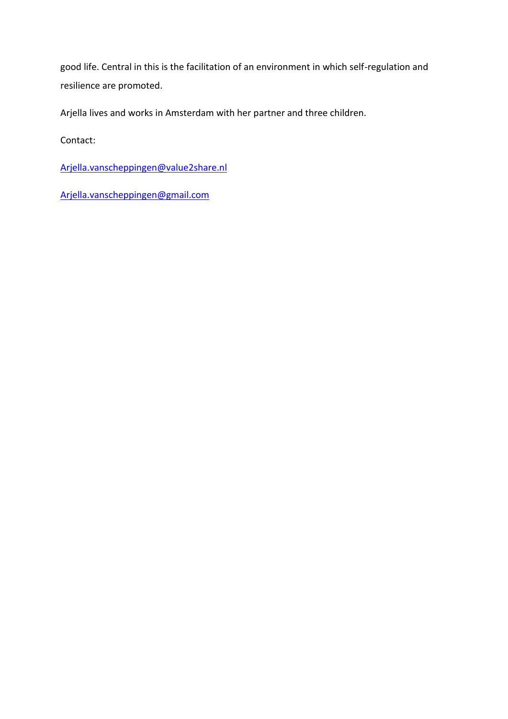good life. Central in this is the facilitation of an environment in which self-regulation and resilience are promoted.

Arjella lives and works in Amsterdam with her partner and three children.

Contact:

[Arjella.vanscheppingen@value2share.nl](mailto:Arjella.vanscheppingen@value2share.nl)

[Arjella.vanscheppingen@gmail.com](mailto:Arjella.vanscheppingen@gmail.com)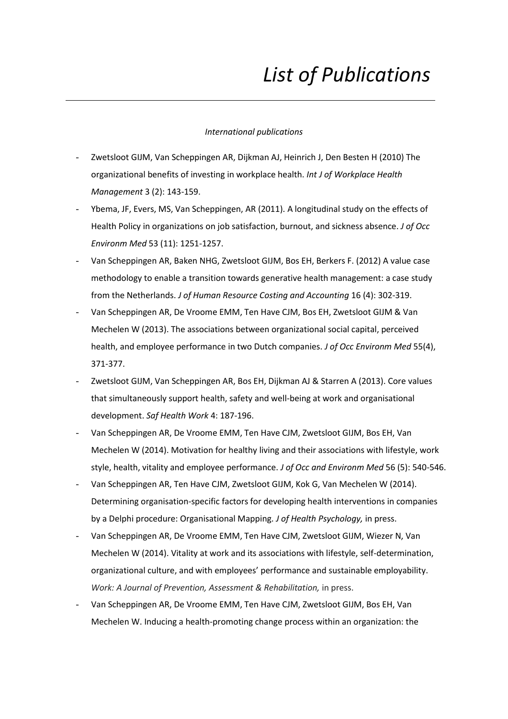# *List of Publications*

#### *International publications*

- Zwetsloot GIJM, Van Scheppingen AR, Dijkman AJ, Heinrich J, Den Besten H (2010) The organizational benefits of investing in workplace health. *Int J of Workplace Health Management* 3 (2): 143-159.
- Ybema, JF, Evers, MS, Van Scheppingen, AR (2011). A longitudinal study on the effects of Health Policy in organizations on job satisfaction, burnout, and sickness absence. *J of Occ Environm Med* 53 (11): 1251-1257.
- Van Scheppingen AR, Baken NHG, Zwetsloot GIJM, Bos EH, Berkers F. (2012) A value case methodology to enable a transition towards generative health management: a case study from the Netherlands. *J of Human Resource Costing and Accounting* 16 (4): 302-319.
- Van Scheppingen AR, De Vroome EMM, Ten Have CJM, Bos EH, Zwetsloot GIJM & Van Mechelen W (2013). The associations between organizational social capital, perceived health, and employee performance in two Dutch companies. *J of Occ Environm Med* 55(4), 371-377.
- Zwetsloot GIJM, Van Scheppingen AR, Bos EH, Dijkman AJ & Starren A (2013). Core values that simultaneously support health, safety and well-being at work and organisational development. *Saf Health Work* 4: 187-196.
- Van Scheppingen AR, De Vroome EMM, Ten Have CJM, Zwetsloot GIJM, Bos EH, Van Mechelen W (2014). Motivation for healthy living and their associations with lifestyle, work style, health, vitality and employee performance. *J of Occ and Environm Med* 56 (5): 540-546.
- Van Scheppingen AR, Ten Have CJM, Zwetsloot GIJM, Kok G, Van Mechelen W (2014). Determining organisation-specific factors for developing health interventions in companies by a Delphi procedure: Organisational Mapping. *J of Health Psychology,* in press.
- Van Scheppingen AR, De Vroome EMM, Ten Have CJM, Zwetsloot GIJM, Wiezer N, Van Mechelen W (2014). Vitality at work and its associations with lifestyle, self-determination, organizational culture, and with employees' performance and sustainable employability. *Work: A Journal of Prevention, Assessment & Rehabilitation,* in press.
- Van Scheppingen AR, De Vroome EMM, Ten Have CJM, Zwetsloot GIJM, Bos EH, Van Mechelen W. Inducing a health-promoting change process within an organization: the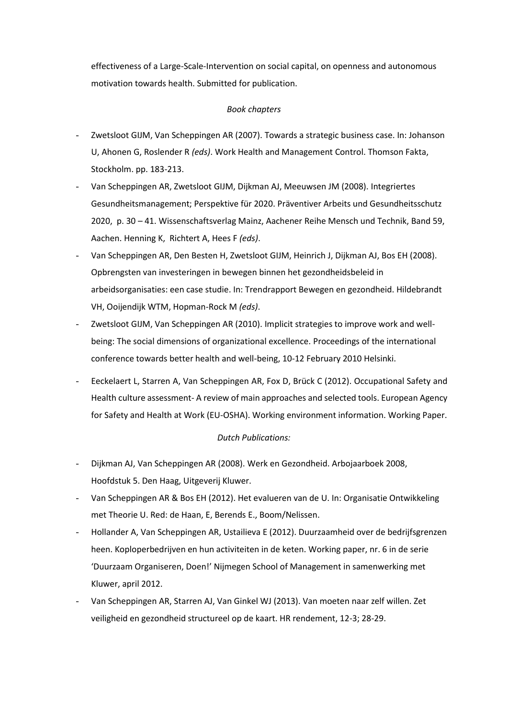effectiveness of a Large-Scale-Intervention on social capital, on openness and autonomous motivation towards health. Submitted for publication.

#### *Book chapters*

- Zwetsloot GIJM, Van Scheppingen AR (2007). Towards a strategic business case. In: Johanson U, Ahonen G, Roslender R *(eds)*. Work Health and Management Control. Thomson Fakta, Stockholm. pp. 183-213.
- Van Scheppingen AR, Zwetsloot GIJM, Dijkman AJ, Meeuwsen JM (2008). Integriertes Gesundheitsmanagement; Perspektive für 2020. Präventiver Arbeits und Gesundheitsschutz 2020, p. 30 – 41. Wissenschaftsverlag Mainz, Aachener Reihe Mensch und Technik, Band 59, Aachen. Henning K, Richtert A, Hees F *(eds)*.
- Van Scheppingen AR, Den Besten H, Zwetsloot GIJM, Heinrich J, Dijkman AJ, Bos EH (2008). Opbrengsten van investeringen in bewegen binnen het gezondheidsbeleid in arbeidsorganisaties: een case studie. In: Trendrapport Bewegen en gezondheid. Hildebrandt VH, Ooijendijk WTM, Hopman-Rock M *(eds)*.
- Zwetsloot GIJM, Van Scheppingen AR (2010). Implicit strategies to improve work and wellbeing: The social dimensions of organizational excellence. Proceedings of the international conference towards better health and well-being, 10-12 February 2010 Helsinki.
- Eeckelaert L, Starren A, Van Scheppingen AR, Fox D, Brück C (2012). Occupational Safety and Health culture assessment- A review of main approaches and selected tools. European Agency for Safety and Health at Work (EU-OSHA). Working environment information. Working Paper.

### *Dutch Publications:*

- Dijkman AJ, Van Scheppingen AR (2008). Werk en Gezondheid. Arbojaarboek 2008, Hoofdstuk 5. Den Haag, Uitgeverij Kluwer.
- Van Scheppingen AR & Bos EH (2012). Het evalueren van de U. In: Organisatie Ontwikkeling met Theorie U. Red: de Haan, E, Berends E., Boom/Nelissen.
- Hollander A, Van Scheppingen AR, Ustailieva E (2012). Duurzaamheid over de bedrijfsgrenzen heen. Koploperbedrijven en hun activiteiten in de keten. Working paper, nr. 6 in de serie 'Duurzaam Organiseren, Doen!' Nijmegen School of Management in samenwerking met Kluwer, april 2012.
- Van Scheppingen AR, Starren AJ, Van Ginkel WJ (2013). Van moeten naar zelf willen. Zet veiligheid en gezondheid structureel op de kaart. HR rendement, 12-3; 28-29.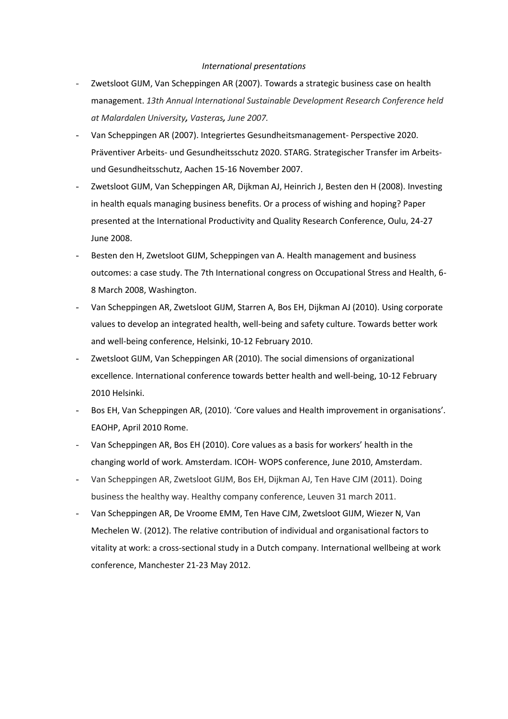#### *International presentations*

- Zwetsloot GIJM, Van Scheppingen AR (2007). Towards a strategic business case on health management. *13th Annual International Sustainable Development Research Conference held at Malardalen University, Vasteras, June 2007.*
- Van Scheppingen AR (2007). Integriertes Gesundheitsmanagement- Perspective 2020. Präventiver Arbeits- und Gesundheitsschutz 2020. STARG. Strategischer Transfer im Arbeitsund Gesundheitsschutz, Aachen 15-16 November 2007.
- Zwetsloot GIJM, Van Scheppingen AR, Dijkman AJ, Heinrich J, Besten den H (2008). Investing in health equals managing business benefits. Or a process of wishing and hoping? Paper presented at the International Productivity and Quality Research Conference, Oulu, 24-27 June 2008.
- Besten den H, Zwetsloot GIJM, Scheppingen van A. Health management and business outcomes: a case study. The 7th International congress on Occupational Stress and Health, 6- 8 March 2008, Washington.
- Van Scheppingen AR, Zwetsloot GIJM, Starren A, Bos EH, Dijkman AJ (2010). Using corporate values to develop an integrated health, well-being and safety culture. Towards better work and well-being conference, Helsinki, 10-12 February 2010.
- Zwetsloot GIJM, Van Scheppingen AR (2010). The social dimensions of organizational excellence. International conference towards better health and well-being, 10-12 February 2010 Helsinki.
- Bos EH, Van Scheppingen AR, (2010). 'Core values and Health improvement in organisations'. EAOHP, April 2010 Rome.
- Van Scheppingen AR, Bos EH (2010). Core values as a basis for workers' health in the changing world of work. Amsterdam. ICOH- WOPS conference, June 2010, Amsterdam.
- Van Scheppingen AR, Zwetsloot GIJM, Bos EH, Dijkman AJ, Ten Have CJM (2011). Doing business the healthy way. Healthy company conference, Leuven 31 march 2011.
- Van Scheppingen AR, De Vroome EMM, Ten Have CJM, Zwetsloot GIJM, Wiezer N, Van Mechelen W. (2012). The relative contribution of individual and organisational factors to vitality at work: a cross-sectional study in a Dutch company. International wellbeing at work conference, Manchester 21-23 May 2012.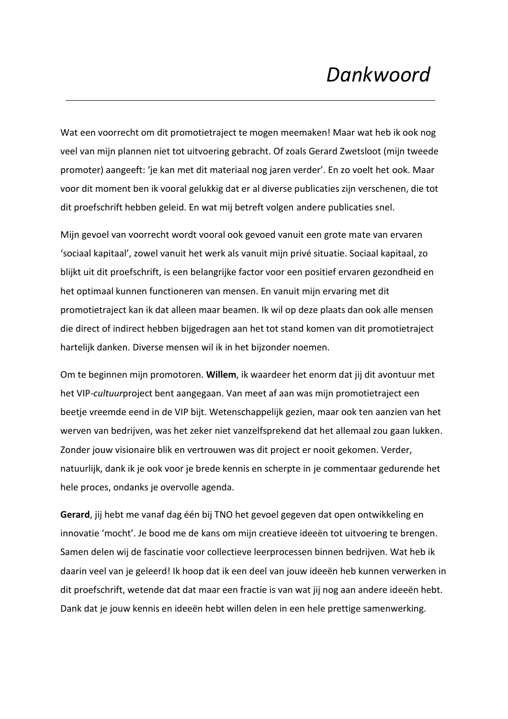## *Dankwoord*

Wat een voorrecht om dit promotietraject te mogen meemaken! Maar wat heb ik ook nog veel van mijn plannen niet tot uitvoering gebracht. Of zoals Gerard Zwetsloot (mijn tweede promoter) aangeeft: 'je kan met dit materiaal nog jaren verder'. En zo voelt het ook. Maar voor dit moment ben ik vooral gelukkig dat er al diverse publicaties zijn verschenen, die tot dit proefschrift hebben geleid. En wat mij betreft volgen andere publicaties snel.

Mijn gevoel van voorrecht wordt vooral ook gevoed vanuit een grote mate van ervaren 'sociaal kapitaal', zowel vanuit het werk als vanuit mijn privé situatie. Sociaal kapitaal, zo blijkt uit dit proefschrift, is een belangrijke factor voor een positief ervaren gezondheid en het optimaal kunnen functioneren van mensen. En vanuit mijn ervaring met dit promotietraject kan ik dat alleen maar beamen. Ik wil op deze plaats dan ook alle mensen die direct of indirect hebben bijgedragen aan het tot stand komen van dit promotietraject hartelijk danken. Diverse mensen wil ik in het bijzonder noemen.

Om te beginnen mijn promotoren. **Willem**, ik waardeer het enorm dat jij dit avontuur met het VIP-*cultuur*project bent aangegaan. Van meet af aan was mijn promotietraject een beetje vreemde eend in de VIP bijt. Wetenschappelijk gezien, maar ook ten aanzien van het werven van bedrijven, was het zeker niet vanzelfsprekend dat het allemaal zou gaan lukken. Zonder jouw visionaire blik en vertrouwen was dit project er nooit gekomen. Verder, natuurlijk, dank ik je ook voor je brede kennis en scherpte in je commentaar gedurende het hele proces, ondanks je overvolle agenda.

**Gerard**, jij hebt me vanaf dag één bij TNO het gevoel gegeven dat open ontwikkeling en innovatie 'mocht'. Je bood me de kans om mijn creatieve ideeën tot uitvoering te brengen. Samen delen wij de fascinatie voor collectieve leerprocessen binnen bedrijven. Wat heb ik daarin veel van je geleerd! Ik hoop dat ik een deel van jouw ideeën heb kunnen verwerken in dit proefschrift, wetende dat dat maar een fractie is van wat jij nog aan andere ideeën hebt. Dank dat je jouw kennis en ideeën hebt willen delen in een hele prettige samenwerking.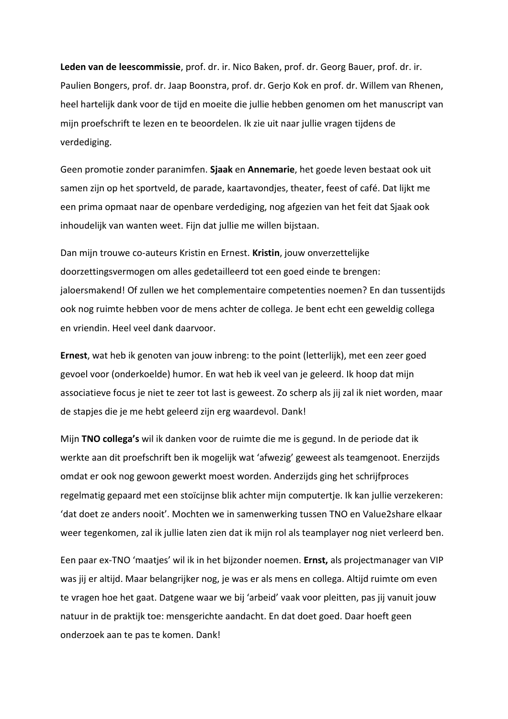**Leden van de leescommissie**, prof. dr. ir. Nico Baken, prof. dr. Georg Bauer, prof. dr. ir. Paulien Bongers, prof. dr. Jaap Boonstra, prof. dr. Gerjo Kok en prof. dr. Willem van Rhenen, heel hartelijk dank voor de tijd en moeite die jullie hebben genomen om het manuscript van mijn proefschrift te lezen en te beoordelen. Ik zie uit naar jullie vragen tijdens de verdediging.

Geen promotie zonder paranimfen. **Sjaak** en **Annemarie**, het goede leven bestaat ook uit samen zijn op het sportveld, de parade, kaartavondjes, theater, feest of café. Dat lijkt me een prima opmaat naar de openbare verdediging, nog afgezien van het feit dat Sjaak ook inhoudelijk van wanten weet. Fijn dat jullie me willen bijstaan.

Dan mijn trouwe co-auteurs Kristin en Ernest. **Kristin**, jouw onverzettelijke doorzettingsvermogen om alles gedetailleerd tot een goed einde te brengen: jaloersmakend! Of zullen we het complementaire competenties noemen? En dan tussentijds ook nog ruimte hebben voor de mens achter de collega. Je bent echt een geweldig collega en vriendin. Heel veel dank daarvoor.

**Ernest**, wat heb ik genoten van jouw inbreng: to the point (letterlijk), met een zeer goed gevoel voor (onderkoelde) humor. En wat heb ik veel van je geleerd. Ik hoop dat mijn associatieve focus je niet te zeer tot last is geweest. Zo scherp als jij zal ik niet worden, maar de stapjes die je me hebt geleerd zijn erg waardevol. Dank!

Mijn **TNO collega's** wil ik danken voor de ruimte die me is gegund. In de periode dat ik werkte aan dit proefschrift ben ik mogelijk wat 'afwezig' geweest als teamgenoot. Enerzijds omdat er ook nog gewoon gewerkt moest worden. Anderzijds ging het schrijfproces regelmatig gepaard met een stoïcijnse blik achter mijn computertje. Ik kan jullie verzekeren: 'dat doet ze anders nooit'. Mochten we in samenwerking tussen TNO en Value2share elkaar weer tegenkomen, zal ik jullie laten zien dat ik mijn rol als teamplayer nog niet verleerd ben.

Een paar ex-TNO 'maatjes' wil ik in het bijzonder noemen. **Ernst,** als projectmanager van VIP was jij er altijd. Maar belangrijker nog, je was er als mens en collega. Altijd ruimte om even te vragen hoe het gaat. Datgene waar we bij 'arbeid' vaak voor pleitten, pas jij vanuit jouw natuur in de praktijk toe: mensgerichte aandacht. En dat doet goed. Daar hoeft geen onderzoek aan te pas te komen. Dank!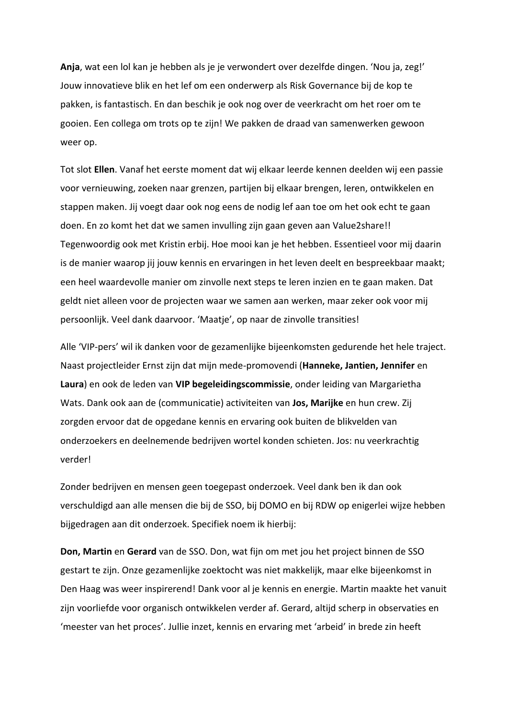**Anja**, wat een lol kan je hebben als je je verwondert over dezelfde dingen. 'Nou ja, zeg!' Jouw innovatieve blik en het lef om een onderwerp als Risk Governance bij de kop te pakken, is fantastisch. En dan beschik je ook nog over de veerkracht om het roer om te gooien. Een collega om trots op te zijn! We pakken de draad van samenwerken gewoon weer op.

Tot slot **Ellen**. Vanaf het eerste moment dat wij elkaar leerde kennen deelden wij een passie voor vernieuwing, zoeken naar grenzen, partijen bij elkaar brengen, leren, ontwikkelen en stappen maken. Jij voegt daar ook nog eens de nodig lef aan toe om het ook echt te gaan doen. En zo komt het dat we samen invulling zijn gaan geven aan Value2share!! Tegenwoordig ook met Kristin erbij. Hoe mooi kan je het hebben. Essentieel voor mij daarin is de manier waarop jij jouw kennis en ervaringen in het leven deelt en bespreekbaar maakt; een heel waardevolle manier om zinvolle next steps te leren inzien en te gaan maken. Dat geldt niet alleen voor de projecten waar we samen aan werken, maar zeker ook voor mij persoonlijk. Veel dank daarvoor. 'Maatje', op naar de zinvolle transities!

Alle 'VIP-pers' wil ik danken voor de gezamenlijke bijeenkomsten gedurende het hele traject. Naast projectleider Ernst zijn dat mijn mede-promovendi (**Hanneke, Jantien, Jennifer** en **Laura**) en ook de leden van **VIP begeleidingscommissie**, onder leiding van Margarietha Wats. Dank ook aan de (communicatie) activiteiten van **Jos, Marijke** en hun crew. Zij zorgden ervoor dat de opgedane kennis en ervaring ook buiten de blikvelden van onderzoekers en deelnemende bedrijven wortel konden schieten. Jos: nu veerkrachtig verder!

Zonder bedrijven en mensen geen toegepast onderzoek. Veel dank ben ik dan ook verschuldigd aan alle mensen die bij de SSO, bij DOMO en bij RDW op enigerlei wijze hebben bijgedragen aan dit onderzoek. Specifiek noem ik hierbij:

**Don, Martin** en **Gerard** van de SSO. Don, wat fijn om met jou het project binnen de SSO gestart te zijn. Onze gezamenlijke zoektocht was niet makkelijk, maar elke bijeenkomst in Den Haag was weer inspirerend! Dank voor al je kennis en energie. Martin maakte het vanuit zijn voorliefde voor organisch ontwikkelen verder af. Gerard, altijd scherp in observaties en 'meester van het proces'. Jullie inzet, kennis en ervaring met 'arbeid' in brede zin heeft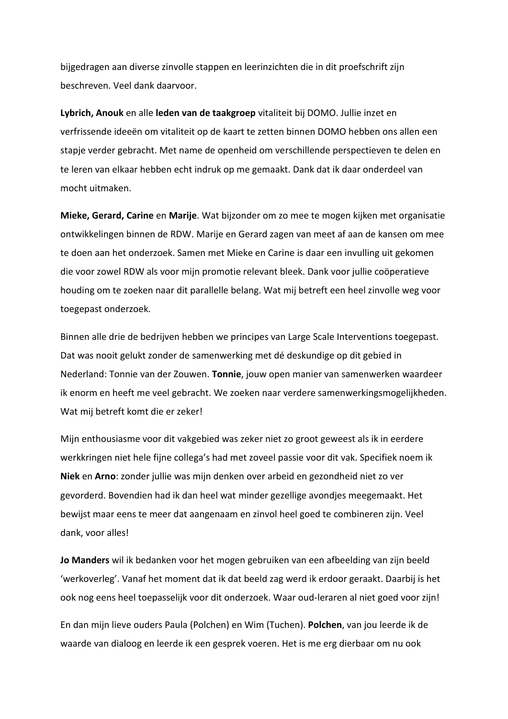bijgedragen aan diverse zinvolle stappen en leerinzichten die in dit proefschrift zijn beschreven. Veel dank daarvoor.

**Lybrich, Anouk** en alle **leden van de taakgroep** vitaliteit bij DOMO. Jullie inzet en verfrissende ideeën om vitaliteit op de kaart te zetten binnen DOMO hebben ons allen een stapje verder gebracht. Met name de openheid om verschillende perspectieven te delen en te leren van elkaar hebben echt indruk op me gemaakt. Dank dat ik daar onderdeel van mocht uitmaken.

**Mieke, Gerard, Carine** en **Marije**. Wat bijzonder om zo mee te mogen kijken met organisatie ontwikkelingen binnen de RDW. Marije en Gerard zagen van meet af aan de kansen om mee te doen aan het onderzoek. Samen met Mieke en Carine is daar een invulling uit gekomen die voor zowel RDW als voor mijn promotie relevant bleek. Dank voor jullie coöperatieve houding om te zoeken naar dit parallelle belang. Wat mij betreft een heel zinvolle weg voor toegepast onderzoek.

Binnen alle drie de bedrijven hebben we principes van Large Scale Interventions toegepast. Dat was nooit gelukt zonder de samenwerking met dé deskundige op dit gebied in Nederland: Tonnie van der Zouwen. **Tonnie**, jouw open manier van samenwerken waardeer ik enorm en heeft me veel gebracht. We zoeken naar verdere samenwerkingsmogelijkheden. Wat mij betreft komt die er zeker!

Mijn enthousiasme voor dit vakgebied was zeker niet zo groot geweest als ik in eerdere werkkringen niet hele fijne collega's had met zoveel passie voor dit vak. Specifiek noem ik **Niek** en **Arno**: zonder jullie was mijn denken over arbeid en gezondheid niet zo ver gevorderd. Bovendien had ik dan heel wat minder gezellige avondjes meegemaakt. Het bewijst maar eens te meer dat aangenaam en zinvol heel goed te combineren zijn. Veel dank, voor alles!

**Jo Manders** wil ik bedanken voor het mogen gebruiken van een afbeelding van zijn beeld 'werkoverleg'. Vanaf het moment dat ik dat beeld zag werd ik erdoor geraakt. Daarbij is het ook nog eens heel toepasselijk voor dit onderzoek. Waar oud-leraren al niet goed voor zijn!

En dan mijn lieve ouders Paula (Polchen) en Wim (Tuchen). **Polchen**, van jou leerde ik de waarde van dialoog en leerde ik een gesprek voeren. Het is me erg dierbaar om nu ook